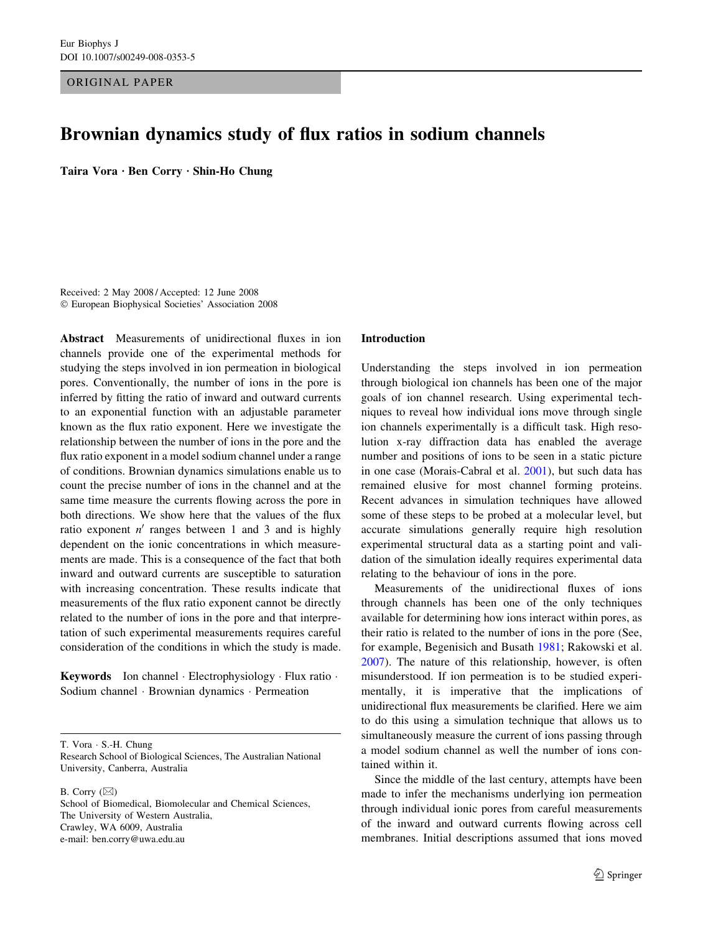ORIGINAL PAPER

# Brownian dynamics study of flux ratios in sodium channels

Taira Vora · Ben Corry · Shin-Ho Chung

Received: 2 May 2008 / Accepted: 12 June 2008 European Biophysical Societies' Association 2008

Abstract Measurements of unidirectional fluxes in ion channels provide one of the experimental methods for studying the steps involved in ion permeation in biological pores. Conventionally, the number of ions in the pore is inferred by fitting the ratio of inward and outward currents to an exponential function with an adjustable parameter known as the flux ratio exponent. Here we investigate the relationship between the number of ions in the pore and the flux ratio exponent in a model sodium channel under a range of conditions. Brownian dynamics simulations enable us to count the precise number of ions in the channel and at the same time measure the currents flowing across the pore in both directions. We show here that the values of the flux ratio exponent  $n'$  ranges between 1 and 3 and is highly dependent on the ionic concentrations in which measurements are made. This is a consequence of the fact that both inward and outward currents are susceptible to saturation with increasing concentration. These results indicate that measurements of the flux ratio exponent cannot be directly related to the number of ions in the pore and that interpretation of such experimental measurements requires careful consideration of the conditions in which the study is made.

**Keywords** Ion channel  $\cdot$  Electrophysiology  $\cdot$  Flux ratio  $\cdot$ Sodium channel · Brownian dynamics · Permeation

T. Vora · S.-H. Chung

Research School of Biological Sciences, The Australian National University, Canberra, Australia

B. Corry  $(\boxtimes)$ 

School of Biomedical, Biomolecular and Chemical Sciences, The University of Western Australia, Crawley, WA 6009, Australia e-mail: ben.corry@uwa.edu.au

### Introduction

Understanding the steps involved in ion permeation through biological ion channels has been one of the major goals of ion channel research. Using experimental techniques to reveal how individual ions move through single ion channels experimentally is a difficult task. High resolution x-ray diffraction data has enabled the average number and positions of ions to be seen in a static picture in one case (Morais-Cabral et al. [2001](#page-6-0)), but such data has remained elusive for most channel forming proteins. Recent advances in simulation techniques have allowed some of these steps to be probed at a molecular level, but accurate simulations generally require high resolution experimental structural data as a starting point and validation of the simulation ideally requires experimental data relating to the behaviour of ions in the pore.

Measurements of the unidirectional fluxes of ions through channels has been one of the only techniques available for determining how ions interact within pores, as their ratio is related to the number of ions in the pore (See, for example, Begenisich and Busath [1981](#page-6-0); Rakowski et al. [2007](#page-6-0)). The nature of this relationship, however, is often misunderstood. If ion permeation is to be studied experimentally, it is imperative that the implications of unidirectional flux measurements be clarified. Here we aim to do this using a simulation technique that allows us to simultaneously measure the current of ions passing through a model sodium channel as well the number of ions contained within it.

Since the middle of the last century, attempts have been made to infer the mechanisms underlying ion permeation through individual ionic pores from careful measurements of the inward and outward currents flowing across cell membranes. Initial descriptions assumed that ions moved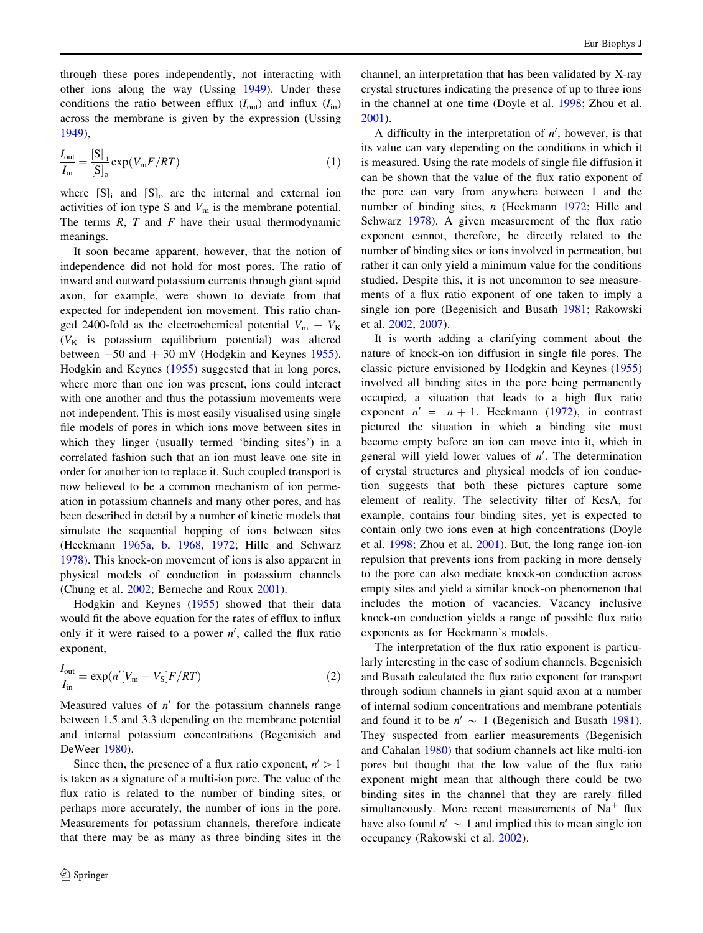through these pores independently, not interacting with other ions along the way (Ussing [1949\)](#page-7-0). Under these conditions the ratio between efflux  $(I_{out})$  and influx  $(I_{in})$ across the membrane is given by the expression (Ussing [1949\)](#page-7-0),

$$
\frac{I_{\text{out}}}{I_{\text{in}}} = \frac{[\text{S}]_i}{[\text{S}]_0} \exp(V_{\text{m}} F / RT)
$$
\n(1)

where  $[S]_i$  and  $[S]_0$  are the internal and external ion activities of ion type S and  $V_m$  is the membrane potential. The terms  $R$ ,  $T$  and  $F$  have their usual thermodynamic meanings.

It soon became apparent, however, that the notion of independence did not hold for most pores. The ratio of inward and outward potassium currents through giant squid axon, for example, were shown to deviate from that expected for independent ion movement. This ratio changed 2400-fold as the electrochemical potential  $V_m - V_K$  $(V_K$  is potassium equilibrium potential) was altered between  $-50$  and  $+30$  mV (Hodgkin and Keynes [1955](#page-6-0)). Hodgkin and Keynes [\(1955](#page-6-0)) suggested that in long pores, where more than one ion was present, ions could interact with one another and thus the potassium movements were not independent. This is most easily visualised using single file models of pores in which ions move between sites in which they linger (usually termed 'binding sites') in a correlated fashion such that an ion must leave one site in order for another ion to replace it. Such coupled transport is now believed to be a common mechanism of ion permeation in potassium channels and many other pores, and has been described in detail by a number of kinetic models that simulate the sequential hopping of ions between sites (Heckmann [1965a](#page-6-0), [b,](#page-6-0) [1968](#page-6-0), [1972](#page-6-0); Hille and Schwarz [1978\)](#page-6-0). This knock-on movement of ions is also apparent in physical models of conduction in potassium channels (Chung et al. [2002;](#page-6-0) Berneche and Roux [2001\)](#page-6-0).

Hodgkin and Keynes [\(1955](#page-6-0)) showed that their data would fit the above equation for the rates of efflux to influx only if it were raised to a power  $n'$ , called the flux ratio exponent,

$$
\frac{I_{\text{out}}}{I_{\text{in}}} = \exp(n'[V_{\text{m}} - V_{\text{S}}]F/RT) \tag{2}
$$

Measured values of  $n'$  for the potassium channels range between 1.5 and 3.3 depending on the membrane potential and internal potassium concentrations (Begenisich and DeWeer [1980\)](#page-6-0).

Since then, the presence of a flux ratio exponent,  $n' > 1$ is taken as a signature of a multi-ion pore. The value of the flux ratio is related to the number of binding sites, or perhaps more accurately, the number of ions in the pore. Measurements for potassium channels, therefore indicate that there may be as many as three binding sites in the channel, an interpretation that has been validated by X-ray crystal structures indicating the presence of up to three ions in the channel at one time (Doyle et al. [1998](#page-6-0); Zhou et al. [2001](#page-7-0)).

A difficulty in the interpretation of  $n'$ , however, is that its value can vary depending on the conditions in which it is measured. Using the rate models of single file diffusion it can be shown that the value of the flux ratio exponent of the pore can vary from anywhere between 1 and the number of binding sites, n (Heckmann [1972](#page-6-0); Hille and Schwarz [1978\)](#page-6-0). A given measurement of the flux ratio exponent cannot, therefore, be directly related to the number of binding sites or ions involved in permeation, but rather it can only yield a minimum value for the conditions studied. Despite this, it is not uncommon to see measurements of a flux ratio exponent of one taken to imply a single ion pore (Begenisich and Busath [1981](#page-6-0); Rakowski et al. [2002,](#page-6-0) [2007\)](#page-6-0).

It is worth adding a clarifying comment about the nature of knock-on ion diffusion in single file pores. The classic picture envisioned by Hodgkin and Keynes ([1955\)](#page-6-0) involved all binding sites in the pore being permanently occupied, a situation that leads to a high flux ratio exponent  $n' = n + 1$ . Heckmann ([1972\)](#page-6-0), in contrast pictured the situation in which a binding site must become empty before an ion can move into it, which in general will yield lower values of  $n'$ . The determination of crystal structures and physical models of ion conduction suggests that both these pictures capture some element of reality. The selectivity filter of KcsA, for example, contains four binding sites, yet is expected to contain only two ions even at high concentrations (Doyle et al. [1998;](#page-6-0) Zhou et al. [2001\)](#page-7-0). But, the long range ion-ion repulsion that prevents ions from packing in more densely to the pore can also mediate knock-on conduction across empty sites and yield a similar knock-on phenomenon that includes the motion of vacancies. Vacancy inclusive knock-on conduction yields a range of possible flux ratio exponents as for Heckmann's models.

The interpretation of the flux ratio exponent is particularly interesting in the case of sodium channels. Begenisich and Busath calculated the flux ratio exponent for transport through sodium channels in giant squid axon at a number of internal sodium concentrations and membrane potentials and found it to be  $n' \sim 1$  (Begenisich and Busath [1981](#page-6-0)). They suspected from earlier measurements (Begenisich and Cahalan [1980](#page-6-0)) that sodium channels act like multi-ion pores but thought that the low value of the flux ratio exponent might mean that although there could be two binding sites in the channel that they are rarely filled simultaneously. More recent measurements of  $Na<sup>+</sup>$  flux have also found  $n' \sim 1$  and implied this to mean single ion occupancy (Rakowski et al. [2002](#page-6-0)).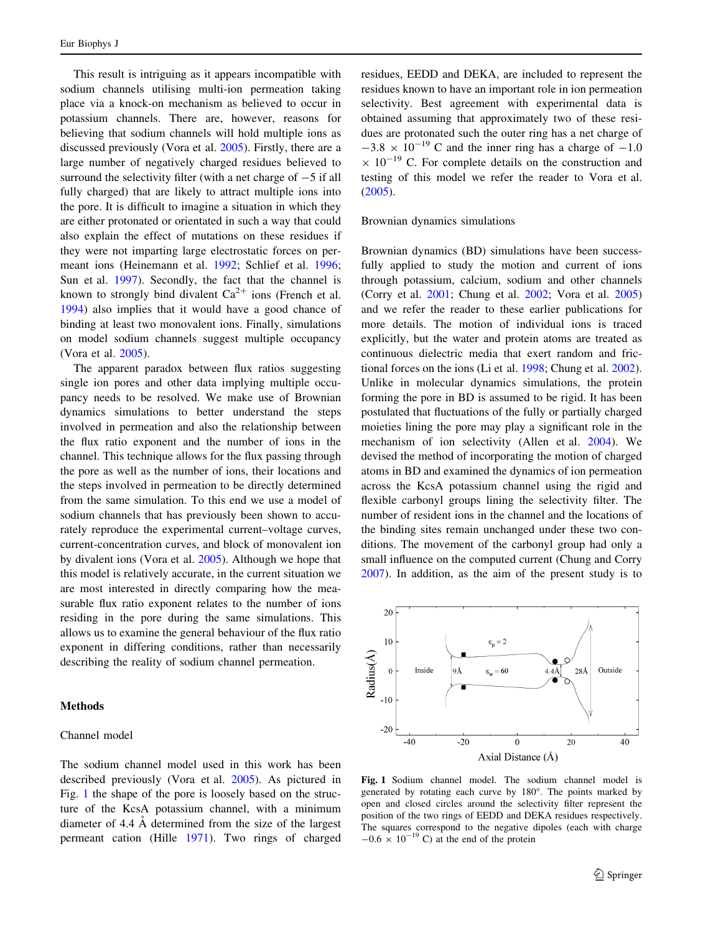This result is intriguing as it appears incompatible with sodium channels utilising multi-ion permeation taking place via a knock-on mechanism as believed to occur in potassium channels. There are, however, reasons for believing that sodium channels will hold multiple ions as discussed previously (Vora et al. [2005](#page-7-0)). Firstly, there are a large number of negatively charged residues believed to surround the selectivity filter (with a net charge of  $-5$  if all fully charged) that are likely to attract multiple ions into the pore. It is difficult to imagine a situation in which they are either protonated or orientated in such a way that could also explain the effect of mutations on these residues if they were not imparting large electrostatic forces on permeant ions (Heinemann et al. [1992;](#page-6-0) Schlief et al. [1996](#page-6-0); Sun et al. [1997\)](#page-6-0). Secondly, the fact that the channel is known to strongly bind divalent  $Ca^{2+}$  ions (French et al. [1994\)](#page-6-0) also implies that it would have a good chance of binding at least two monovalent ions. Finally, simulations on model sodium channels suggest multiple occupancy (Vora et al. [2005](#page-7-0)).

The apparent paradox between flux ratios suggesting single ion pores and other data implying multiple occupancy needs to be resolved. We make use of Brownian dynamics simulations to better understand the steps involved in permeation and also the relationship between the flux ratio exponent and the number of ions in the channel. This technique allows for the flux passing through the pore as well as the number of ions, their locations and the steps involved in permeation to be directly determined from the same simulation. To this end we use a model of sodium channels that has previously been shown to accurately reproduce the experimental current–voltage curves, current-concentration curves, and block of monovalent ion by divalent ions (Vora et al. [2005\)](#page-7-0). Although we hope that this model is relatively accurate, in the current situation we are most interested in directly comparing how the measurable flux ratio exponent relates to the number of ions residing in the pore during the same simulations. This allows us to examine the general behaviour of the flux ratio exponent in differing conditions, rather than necessarily describing the reality of sodium channel permeation.

## Methods

## Channel model

The sodium channel model used in this work has been described previously (Vora et al. [2005\)](#page-7-0). As pictured in Fig. 1 the shape of the pore is loosely based on the structure of the KcsA potassium channel, with a minimum diameter of 4.4 Å determined from the size of the largest permeant cation (Hille [1971](#page-6-0)). Two rings of charged residues, EEDD and DEKA, are included to represent the residues known to have an important role in ion permeation selectivity. Best agreement with experimental data is obtained assuming that approximately two of these residues are protonated such the outer ring has a net charge of  $-3.8 \times 10^{-19}$  C and the inner ring has a charge of  $-1.0$  $\times$  10<sup>-19</sup> C. For complete details on the construction and testing of this model we refer the reader to Vora et al. [\(2005](#page-7-0)).

#### Brownian dynamics simulations

Brownian dynamics (BD) simulations have been successfully applied to study the motion and current of ions through potassium, calcium, sodium and other channels (Corry et al. [2001;](#page-6-0) Chung et al. [2002;](#page-6-0) Vora et al. [2005\)](#page-7-0) and we refer the reader to these earlier publications for more details. The motion of individual ions is traced explicitly, but the water and protein atoms are treated as continuous dielectric media that exert random and frictional forces on the ions (Li et al. [1998;](#page-6-0) Chung et al. [2002](#page-6-0)). Unlike in molecular dynamics simulations, the protein forming the pore in BD is assumed to be rigid. It has been postulated that fluctuations of the fully or partially charged moieties lining the pore may play a significant role in the mechanism of ion selectivity (Allen et al. [2004](#page-6-0)). We devised the method of incorporating the motion of charged atoms in BD and examined the dynamics of ion permeation across the KcsA potassium channel using the rigid and flexible carbonyl groups lining the selectivity filter. The number of resident ions in the channel and the locations of the binding sites remain unchanged under these two conditions. The movement of the carbonyl group had only a small influence on the computed current (Chung and Corry [2007](#page-6-0)). In addition, as the aim of the present study is to



Fig. 1 Sodium channel model. The sodium channel model is generated by rotating each curve by 180°. The points marked by open and closed circles around the selectivity filter represent the position of the two rings of EEDD and DEKA residues respectively. The squares correspond to the negative dipoles (each with charge  $-0.6 \times 10^{-19}$  C) at the end of the protein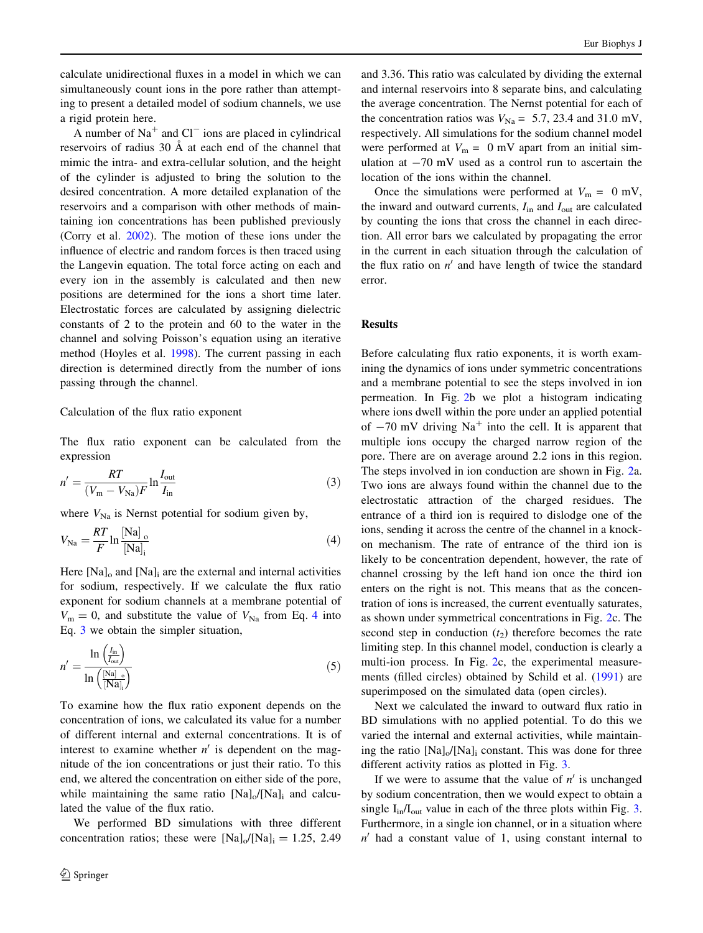<span id="page-3-0"></span>calculate unidirectional fluxes in a model in which we can simultaneously count ions in the pore rather than attempting to present a detailed model of sodium channels, we use a rigid protein here.

A number of  $Na<sup>+</sup>$  and  $Cl<sup>-</sup>$  ions are placed in cylindrical reservoirs of radius  $30 \text{ Å}$  at each end of the channel that mimic the intra- and extra-cellular solution, and the height of the cylinder is adjusted to bring the solution to the desired concentration. A more detailed explanation of the reservoirs and a comparison with other methods of maintaining ion concentrations has been published previously (Corry et al. [2002\)](#page-6-0). The motion of these ions under the influence of electric and random forces is then traced using the Langevin equation. The total force acting on each and every ion in the assembly is calculated and then new positions are determined for the ions a short time later. Electrostatic forces are calculated by assigning dielectric constants of 2 to the protein and 60 to the water in the channel and solving Poisson's equation using an iterative method (Hoyles et al. [1998](#page-6-0)). The current passing in each direction is determined directly from the number of ions passing through the channel.

# Calculation of the flux ratio exponent

The flux ratio exponent can be calculated from the expression

$$
n' = \frac{RT}{(V_m - V_{\text{Na}})F} \ln \frac{I_{\text{out}}}{I_{\text{in}}} \tag{3}
$$

where  $V_{\text{Na}}$  is Nernst potential for sodium given by,

$$
V_{\text{Na}} = \frac{RT}{F} \ln \frac{[\text{Na}]_{\text{o}}}{[\text{Na}]_{\text{i}}} \tag{4}
$$

Here  $[Na]_0$  and  $[Na]_i$  are the external and internal activities for sodium, respectively. If we calculate the flux ratio exponent for sodium channels at a membrane potential of  $V_{\rm m} = 0$ , and substitute the value of  $V_{\rm Na}$  from Eq. 4 into Eq. 3 we obtain the simpler situation,

$$
n' = \frac{\ln\left(\frac{I_{\text{in}}}{I_{\text{out}}}\right)}{\ln\left(\frac{[\text{Na}]}{[\text{Na}]_i}\right)}\tag{5}
$$

To examine how the flux ratio exponent depends on the concentration of ions, we calculated its value for a number of different internal and external concentrations. It is of interest to examine whether  $n'$  is dependent on the magnitude of the ion concentrations or just their ratio. To this end, we altered the concentration on either side of the pore, while maintaining the same ratio  $[Na]_0/[Na]_i$  and calculated the value of the flux ratio.

We performed BD simulations with three different concentration ratios; these were  $[Na]_0/[Na]_i = 1.25, 2.49$  and 3.36. This ratio was calculated by dividing the external and internal reservoirs into 8 separate bins, and calculating the average concentration. The Nernst potential for each of the concentration ratios was  $V_{\text{Na}} = 5.7, 23.4$  and 31.0 mV, respectively. All simulations for the sodium channel model were performed at  $V_m = 0$  mV apart from an initial simulation at  $-70$  mV used as a control run to ascertain the location of the ions within the channel.

Once the simulations were performed at  $V_m = 0$  mV, the inward and outward currents,  $I_{in}$  and  $I_{out}$  are calculated by counting the ions that cross the channel in each direction. All error bars we calculated by propagating the error in the current in each situation through the calculation of the flux ratio on  $n'$  and have length of twice the standard error.

# Results

Before calculating flux ratio exponents, it is worth examining the dynamics of ions under symmetric concentrations and a membrane potential to see the steps involved in ion permeation. In Fig. [2b](#page-4-0) we plot a histogram indicating where ions dwell within the pore under an applied potential of  $-70$  mV driving Na<sup>+</sup> into the cell. It is apparent that multiple ions occupy the charged narrow region of the pore. There are on average around 2.2 ions in this region. The steps involved in ion conduction are shown in Fig. [2](#page-4-0)a. Two ions are always found within the channel due to the electrostatic attraction of the charged residues. The entrance of a third ion is required to dislodge one of the ions, sending it across the centre of the channel in a knockon mechanism. The rate of entrance of the third ion is likely to be concentration dependent, however, the rate of channel crossing by the left hand ion once the third ion enters on the right is not. This means that as the concentration of ions is increased, the current eventually saturates, as shown under symmetrical concentrations in Fig. [2](#page-4-0)c. The second step in conduction  $(t_2)$  therefore becomes the rate limiting step. In this channel model, conduction is clearly a multi-ion process. In Fig. [2](#page-4-0)c, the experimental measurements (filled circles) obtained by Schild et al. ([1991\)](#page-6-0) are superimposed on the simulated data (open circles).

Next we calculated the inward to outward flux ratio in BD simulations with no applied potential. To do this we varied the internal and external activities, while maintaining the ratio  $[Na]_0/[Na]_i$  constant. This was done for three different activity ratios as plotted in Fig. [3](#page-5-0).

If we were to assume that the value of  $n'$  is unchanged by sodium concentration, then we would expect to obtain a single  $I_{in}/I_{out}$  value in each of the three plots within Fig. [3.](#page-5-0) Furthermore, in a single ion channel, or in a situation where  $n'$  had a constant value of 1, using constant internal to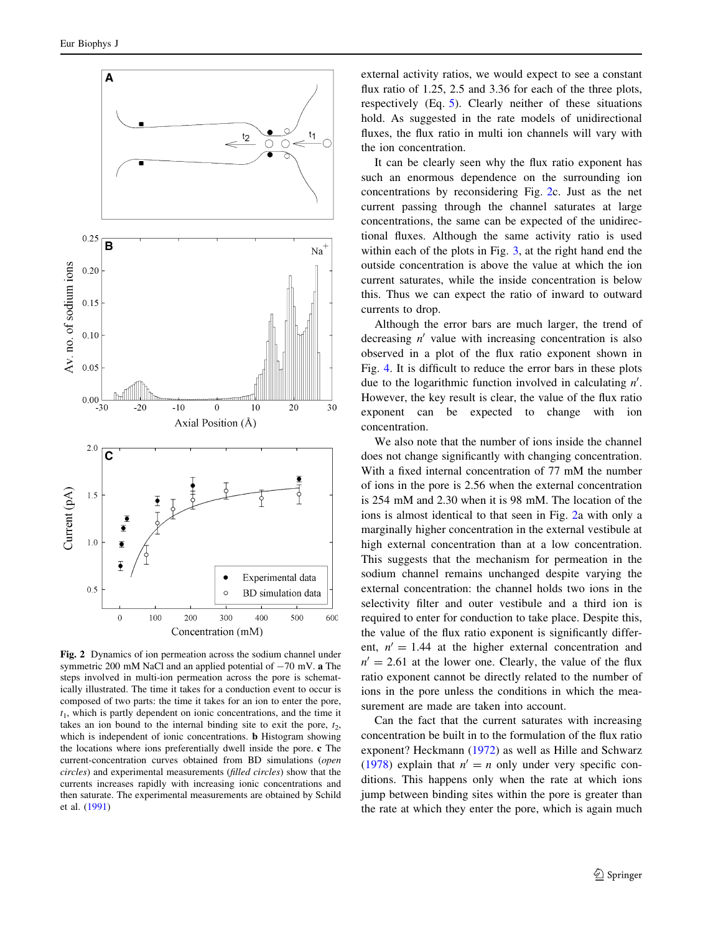<span id="page-4-0"></span>

Fig. 2 Dynamics of ion permeation across the sodium channel under symmetric 200 mM NaCl and an applied potential of  $-70$  mV. a The steps involved in multi-ion permeation across the pore is schematically illustrated. The time it takes for a conduction event to occur is composed of two parts: the time it takes for an ion to enter the pore,  $t<sub>1</sub>$ , which is partly dependent on ionic concentrations, and the time it takes an ion bound to the internal binding site to exit the pore,  $t_2$ , which is independent of ionic concentrations. **b** Histogram showing the locations where ions preferentially dwell inside the pore. c The current-concentration curves obtained from BD simulations (open circles) and experimental measurements (filled circles) show that the currents increases rapidly with increasing ionic concentrations and then saturate. The experimental measurements are obtained by Schild et al. ([1991\)](#page-6-0)

external activity ratios, we would expect to see a constant flux ratio of 1.25, 2.5 and 3.36 for each of the three plots, respectively (Eq. [5](#page-3-0)). Clearly neither of these situations hold. As suggested in the rate models of unidirectional fluxes, the flux ratio in multi ion channels will vary with the ion concentration.

It can be clearly seen why the flux ratio exponent has such an enormous dependence on the surrounding ion concentrations by reconsidering Fig. 2c. Just as the net current passing through the channel saturates at large concentrations, the same can be expected of the unidirectional fluxes. Although the same activity ratio is used within each of the plots in Fig. [3,](#page-5-0) at the right hand end the outside concentration is above the value at which the ion current saturates, while the inside concentration is below this. Thus we can expect the ratio of inward to outward currents to drop.

Although the error bars are much larger, the trend of decreasing  $n'$  value with increasing concentration is also observed in a plot of the flux ratio exponent shown in Fig. [4](#page-5-0). It is difficult to reduce the error bars in these plots due to the logarithmic function involved in calculating  $n'$ . However, the key result is clear, the value of the flux ratio exponent can be expected to change with ion concentration.

We also note that the number of ions inside the channel does not change significantly with changing concentration. With a fixed internal concentration of 77 mM the number of ions in the pore is 2.56 when the external concentration is 254 mM and 2.30 when it is 98 mM. The location of the ions is almost identical to that seen in Fig. 2a with only a marginally higher concentration in the external vestibule at high external concentration than at a low concentration. This suggests that the mechanism for permeation in the sodium channel remains unchanged despite varying the external concentration: the channel holds two ions in the selectivity filter and outer vestibule and a third ion is required to enter for conduction to take place. Despite this, the value of the flux ratio exponent is significantly different,  $n' = 1.44$  at the higher external concentration and  $n' = 2.61$  at the lower one. Clearly, the value of the flux ratio exponent cannot be directly related to the number of ions in the pore unless the conditions in which the measurement are made are taken into account.

Can the fact that the current saturates with increasing concentration be built in to the formulation of the flux ratio exponent? Heckmann ([1972\)](#page-6-0) as well as Hille and Schwarz [\(1978](#page-6-0)) explain that  $n' = n$  only under very specific conditions. This happens only when the rate at which ions jump between binding sites within the pore is greater than the rate at which they enter the pore, which is again much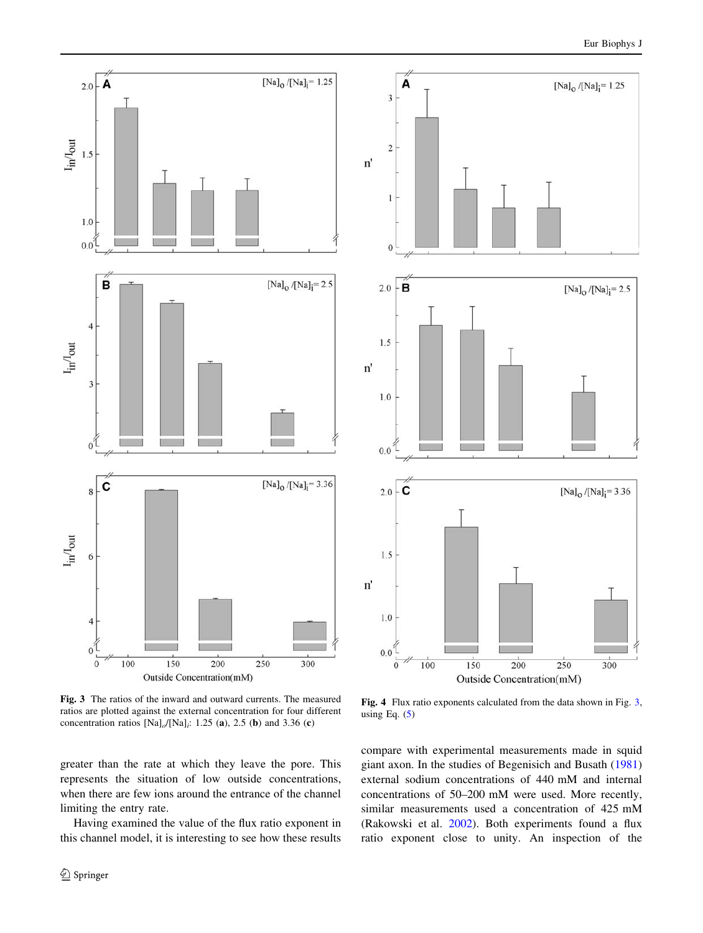<span id="page-5-0"></span>

Fig. 3 The ratios of the inward and outward currents. The measured ratios are plotted against the external concentration for four different concentration ratios  $[Na]_o/[Na]_i$ : 1.25 (a), 2.5 (b) and 3.36 (c)

greater than the rate at which they leave the pore. This represents the situation of low outside concentrations, when there are few ions around the entrance of the channel limiting the entry rate.

Having examined the value of the flux ratio exponent in this channel model, it is interesting to see how these results



Fig. 4 Flux ratio exponents calculated from the data shown in Fig. 3, using Eq.  $(5)$  $(5)$ 

compare with experimental measurements made in squid giant axon. In the studies of Begenisich and Busath ([1981\)](#page-6-0) external sodium concentrations of 440 mM and internal concentrations of 50–200 mM were used. More recently, similar measurements used a concentration of 425 mM (Rakowski et al. [2002](#page-6-0)). Both experiments found a flux ratio exponent close to unity. An inspection of the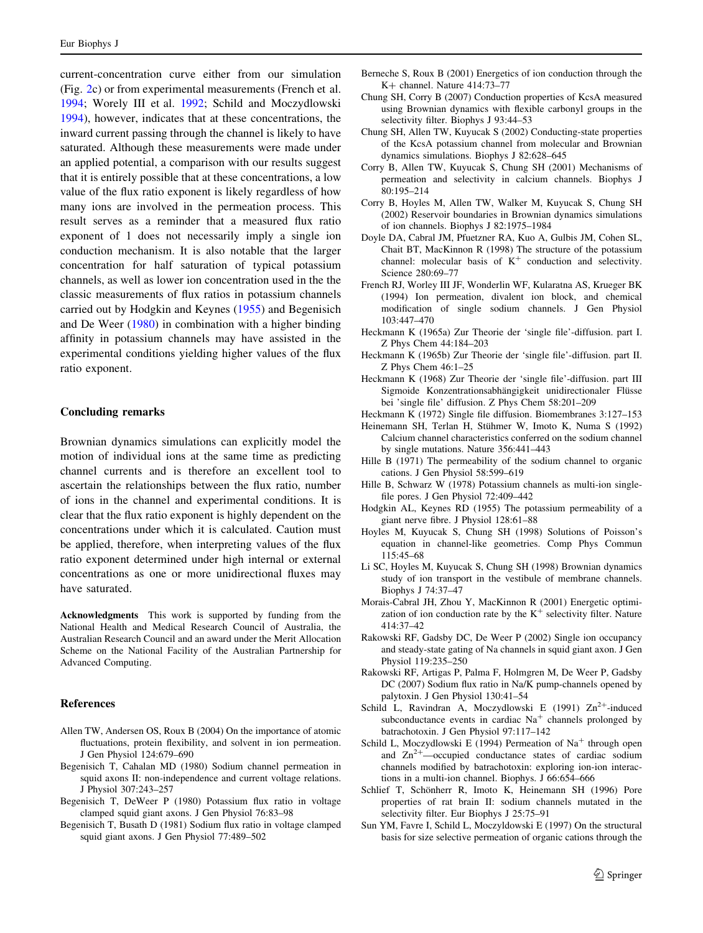<span id="page-6-0"></span>current-concentration curve either from our simulation (Fig. [2](#page-4-0)c) or from experimental measurements (French et al. 1994; Worely III et al. [1992;](#page-7-0) Schild and Moczydlowski 1994), however, indicates that at these concentrations, the inward current passing through the channel is likely to have saturated. Although these measurements were made under an applied potential, a comparison with our results suggest that it is entirely possible that at these concentrations, a low value of the flux ratio exponent is likely regardless of how many ions are involved in the permeation process. This result serves as a reminder that a measured flux ratio exponent of 1 does not necessarily imply a single ion conduction mechanism. It is also notable that the larger concentration for half saturation of typical potassium channels, as well as lower ion concentration used in the the classic measurements of flux ratios in potassium channels carried out by Hodgkin and Keynes (1955) and Begenisich and De Weer (1980) in combination with a higher binding affinity in potassium channels may have assisted in the experimental conditions yielding higher values of the flux ratio exponent.

## Concluding remarks

Brownian dynamics simulations can explicitly model the motion of individual ions at the same time as predicting channel currents and is therefore an excellent tool to ascertain the relationships between the flux ratio, number of ions in the channel and experimental conditions. It is clear that the flux ratio exponent is highly dependent on the concentrations under which it is calculated. Caution must be applied, therefore, when interpreting values of the flux ratio exponent determined under high internal or external concentrations as one or more unidirectional fluxes may have saturated.

Acknowledgments This work is supported by funding from the National Health and Medical Research Council of Australia, the Australian Research Council and an award under the Merit Allocation Scheme on the National Facility of the Australian Partnership for Advanced Computing.

## References

- Allen TW, Andersen OS, Roux B (2004) On the importance of atomic fluctuations, protein flexibility, and solvent in ion permeation. J Gen Physiol 124:679–690
- Begenisich T, Cahalan MD (1980) Sodium channel permeation in squid axons II: non-independence and current voltage relations. J Physiol 307:243–257
- Begenisich T, DeWeer P (1980) Potassium flux ratio in voltage clamped squid giant axons. J Gen Physiol 76:83–98
- Begenisich T, Busath D (1981) Sodium flux ratio in voltage clamped squid giant axons. J Gen Physiol 77:489–502
- Berneche S, Roux B (2001) Energetics of ion conduction through the K+ channel. Nature 414:73–77
- Chung SH, Corry B (2007) Conduction properties of KcsA measured using Brownian dynamics with flexible carbonyl groups in the selectivity filter. Biophys J 93:44–53
- Chung SH, Allen TW, Kuyucak S (2002) Conducting-state properties of the KcsA potassium channel from molecular and Brownian dynamics simulations. Biophys J 82:628–645
- Corry B, Allen TW, Kuyucak S, Chung SH (2001) Mechanisms of permeation and selectivity in calcium channels. Biophys J 80:195–214
- Corry B, Hoyles M, Allen TW, Walker M, Kuyucak S, Chung SH (2002) Reservoir boundaries in Brownian dynamics simulations of ion channels. Biophys J 82:1975–1984
- Doyle DA, Cabral JM, Pfuetzner RA, Kuo A, Gulbis JM, Cohen SL, Chait BT, MacKinnon R (1998) The structure of the potassium channel: molecular basis of  $K^+$  conduction and selectivity. Science 280:69–77
- French RJ, Worley III JF, Wonderlin WF, Kularatna AS, Krueger BK (1994) Ion permeation, divalent ion block, and chemical modification of single sodium channels. J Gen Physiol 103:447–470
- Heckmann K (1965a) Zur Theorie der 'single file'-diffusion. part I. Z Phys Chem 44:184–203
- Heckmann K (1965b) Zur Theorie der 'single file'-diffusion. part II. Z Phys Chem 46:1–25
- Heckmann K (1968) Zur Theorie der 'single file'-diffusion. part III Sigmoide Konzentrationsabhängigkeit unidirectionaler Flüsse bei 'single file' diffusion. Z Phys Chem 58:201–209
- Heckmann K (1972) Single file diffusion. Biomembranes 3:127–153
- Heinemann SH, Terlan H, Stühmer W, Imoto K, Numa S (1992) Calcium channel characteristics conferred on the sodium channel by single mutations. Nature 356:441–443
- Hille B (1971) The permeability of the sodium channel to organic cations. J Gen Physiol 58:599–619
- Hille B, Schwarz W (1978) Potassium channels as multi-ion singlefile pores. J Gen Physiol 72:409–442
- Hodgkin AL, Keynes RD (1955) The potassium permeability of a giant nerve fibre. J Physiol 128:61–88
- Hoyles M, Kuyucak S, Chung SH (1998) Solutions of Poisson's equation in channel-like geometries. Comp Phys Commun 115:45–68
- Li SC, Hoyles M, Kuyucak S, Chung SH (1998) Brownian dynamics study of ion transport in the vestibule of membrane channels. Biophys J 74:37–47
- Morais-Cabral JH, Zhou Y, MacKinnon R (2001) Energetic optimization of ion conduction rate by the  $K^+$  selectivity filter. Nature 414:37–42
- Rakowski RF, Gadsby DC, De Weer P (2002) Single ion occupancy and steady-state gating of Na channels in squid giant axon. J Gen Physiol 119:235–250
- Rakowski RF, Artigas P, Palma F, Holmgren M, De Weer P, Gadsby DC (2007) Sodium flux ratio in Na/K pump-channels opened by palytoxin. J Gen Physiol 130:41–54
- Schild L, Ravindran A, Moczydlowski E (1991)  $Zn^{2+}$ -induced subconductance events in cardiac  $Na<sup>+</sup>$  channels prolonged by batrachotoxin. J Gen Physiol 97:117–142
- Schild L, Moczydlowski E (1994) Permeation of  $Na<sup>+</sup>$  through open and  $\text{Zn}^{2+}$ —occupied conductance states of cardiac sodium channels modified by batrachotoxin: exploring ion-ion interactions in a multi-ion channel. Biophys. J 66:654–666
- Schlief T, Schönherr R, Imoto K, Heinemann SH (1996) Pore properties of rat brain II: sodium channels mutated in the selectivity filter. Eur Biophys J 25:75–91
- Sun YM, Favre I, Schild L, Moczyldowski E (1997) On the structural basis for size selective permeation of organic cations through the